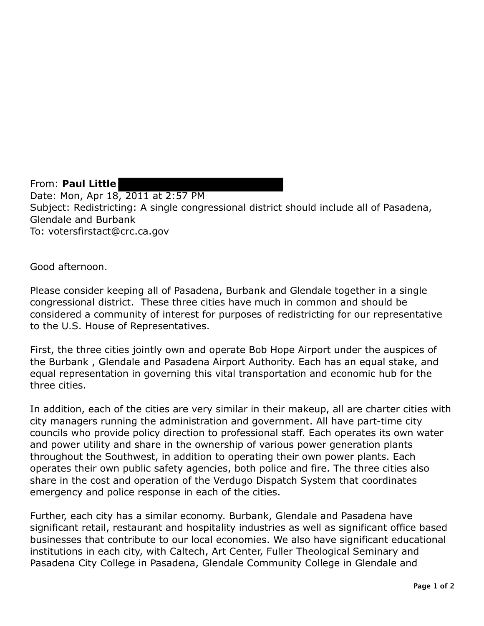From: **Paul Little**  Date: Mon, Apr 18, 2011 at 2:57 PM Subject: Redistricting: A single congressional district should include all of Pasadena, Glendale and Burbank To: votersfirstact@crc.ca.gov

Good afternoon.

Please consider keeping all of Pasadena, Burbank and Glendale together in a single congressional district. These three cities have much in common and should be considered a community of interest for purposes of redistricting for our representative to the U.S. House of Representatives.

First, the three cities jointly own and operate Bob Hope Airport under the auspices of the Burbank , Glendale and Pasadena Airport Authority. Each has an equal stake, and equal representation in governing this vital transportation and economic hub for the three cities.

In addition, each of the cities are very similar in their makeup, all are charter cities with city managers running the administration and government. All have part-time city councils who provide policy direction to professional staff. Each operates its own water and power utility and share in the ownership of various power generation plants throughout the Southwest, in addition to operating their own power plants. Each operates their own public safety agencies, both police and fire. The three cities also share in the cost and operation of the Verdugo Dispatch System that coordinates emergency and police response in each of the cities.

Further, each city has a similar economy. Burbank, Glendale and Pasadena have significant retail, restaurant and hospitality industries as well as significant office based businesses that contribute to our local economies. We also have significant educational institutions in each city, with Caltech, Art Center, Fuller Theological Seminary and Pasadena City College in Pasadena, Glendale Community College in Glendale and